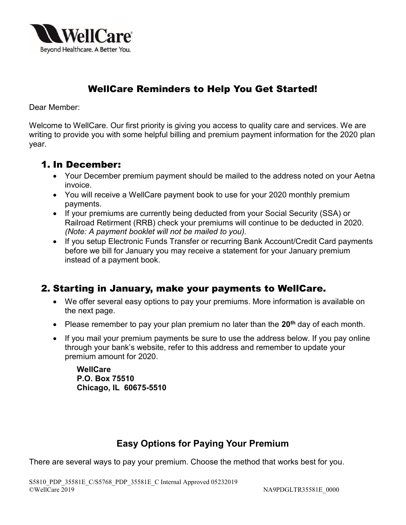

# WellCare Reminders to Help You Get Started!

Dear Member:

Welcome to WellCare. Our first priority is giving you access to quality care and services. We are writing to provide you with some helpful billing and premium payment information for the 2020 plan year.

#### 1. In December:

- Your December premium payment should be mailed to the address noted on your Aetna invoice.
- You will receive a WellCare payment book to use for your 2020 monthly premium payments.
- If your premiums are currently being deducted from your Social Security (SSA) or Railroad Retirment (RRB) check your premiums will continue to be deducted in 2020. (Note: A payment booklet will not be mailed to you).
- If you setup Electronic Funds Transfer or recurring Bank Account/Credit Card payments before we bill for January you may receive a statement for your January premium instead of a payment book.

## 2. Starting in January, make your payments to WellCare.

- We offer several easy options to pay your premiums. More information is available on the next page.
- Please remember to pay your plan premium no later than the  $20<sup>th</sup>$  day of each month.
- If you mail your premium payments be sure to use the address below. If you pay online through your bank's website, refer to this address and remember to update your premium amount for 2020.

**WellCare** P.O. Box 75510 Chicago, IL 60675-5510

## Easy Options for Paying Your Premium

There are several ways to pay your premium. Choose the method that works best for you.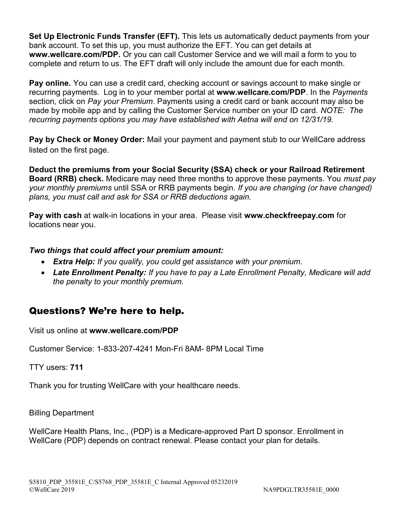Set Up Electronic Funds Transfer (EFT). This lets us automatically deduct payments from your bank account. To set this up, you must authorize the EFT. You can get details at www.wellcare.com/PDP. Or you can call Customer Service and we will mail a form to you to complete and return to us. The EFT draft will only include the amount due for each month.

Pay online. You can use a credit card, checking account or savings account to make single or recurring payments. Log in to your member portal at www.wellcare.com/PDP. In the Payments section, click on Pay your Premium. Payments using a credit card or bank account may also be made by mobile app and by calling the Customer Service number on your ID card. NOTE: The recurring payments options you may have established with Aetna will end on 12/31/19.

Pay by Check or Money Order: Mail your payment and payment stub to our WellCare address listed on the first page.

Deduct the premiums from your Social Security (SSA) check or your Railroad Retirement **Board (RRB) check.** Medicare may need three months to approve these payments. You *must pay* your monthly premiums until SSA or RRB payments begin. If you are changing (or have changed) plans, you must call and ask for SSA or RRB deductions again.

Pay with cash at walk-in locations in your area. Please visit www.checkfreepay.com for locations near you.

#### Two things that could affect your premium amount:

- Extra Help: If you qualify, you could get assistance with your premium.
- Late Enrollment Penalty: If you have to pay a Late Enrollment Penalty, Medicare will add the penalty to your monthly premium.

## Questions? We're here to help.

Visit us online at www.wellcare.com/PDP

Customer Service: 1-833-207-4241 Mon-Fri 8AM- 8PM Local Time

TTY users: 711

Thank you for trusting WellCare with your healthcare needs.

Billing Department

WellCare Health Plans, Inc., (PDP) is a Medicare-approved Part D sponsor. Enrollment in WellCare (PDP) depends on contract renewal. Please contact your plan for details.